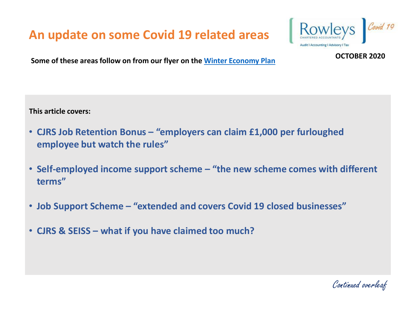

**Some of these areas follow on from our flyer on the [Winter Economy Plan](https://rowleys.biz/wp-content/uploads/2020/09/Winter-Economic-Plan.pdf) COCTOBER 2020** 

**This article covers:**

- **CJRS Job Retention Bonus – "employers can claim £1,000 per furloughed employee but watch the rules"**
- **Self-employed income support scheme – "the new scheme comes with different terms"**
- **Job Support Scheme – "extended and covers Covid 19 closed businesses"**
- **CJRS & SEISS – what if you have claimed too much?**

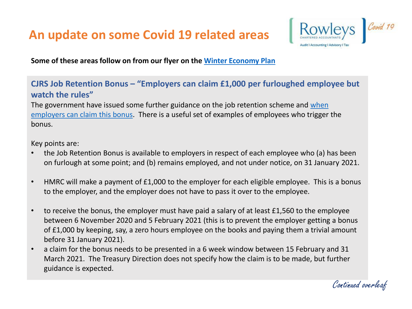

**Some of these areas follow on from our flyer on the [Winter Economy Plan](https://rowleys.biz/wp-content/uploads/2020/09/Winter-Economic-Plan.pdf)**

### **CJRS Job Retention Bonus – "Employers can claim £1,000 per furloughed employee but watch the rules"**

[The government have issued some further guidance on the job retention scheme and when](https://www.gov.uk/guidance/check-if-you-can-claim-the-job-retention-bonus-from-15-february-2021) employers can claim this bonus. There is a useful set of examples of employees who trigger the bonus.

Key points are:

- the Job Retention Bonus is available to employers in respect of each employee who (a) has been on furlough at some point; and (b) remains employed, and not under notice, on 31 January 2021.
- HMRC will make a payment of £1,000 to the employer for each eligible employee. This is a bonus to the employer, and the employer does not have to pass it over to the employee.
- to receive the bonus, the employer must have paid a salary of at least £1,560 to the employee between 6 November 2020 and 5 February 2021 (this is to prevent the employer getting a bonus of £1,000 by keeping, say, a zero hours employee on the books and paying them a trivial amount before 31 January 2021).
- a claim for the bonus needs to be presented in a 6 week window between 15 February and 31 March 2021. The Treasury Direction does not specify how the claim is to be made, but further guidance is expected.

Continued overleaf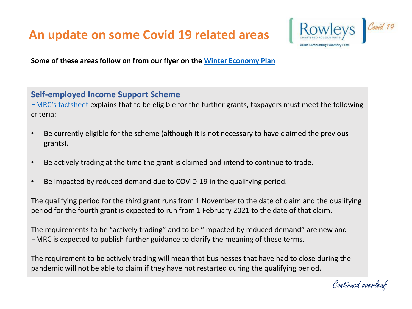

**Some of these areas follow on from our flyer on the [Winter Economy Plan](https://rowleys.biz/wp-content/uploads/2020/09/Winter-Economic-Plan.pdf)**

#### **Self-employed Income Support Scheme**

[HMRC's factsheet](https://www.gov.uk/government/publications/self-employment-income-support-scheme-grant-extension) explains that to be eligible for the further grants, taxpayers must meet the following criteria:

- Be currently eligible for the scheme (although it is not necessary to have claimed the previous grants).
- Be actively trading at the time the grant is claimed and intend to continue to trade.
- Be impacted by reduced demand due to COVID-19 in the qualifying period.

The qualifying period for the third grant runs from 1 November to the date of claim and the qualifying period for the fourth grant is expected to run from 1 February 2021 to the date of that claim.

The requirements to be "actively trading" and to be "impacted by reduced demand" are new and HMRC is expected to publish further guidance to clarify the meaning of these terms.

The requirement to be actively trading will mean that businesses that have had to close during the pandemic will not be able to claim if they have not restarted during the qualifying period.

Continued overleaf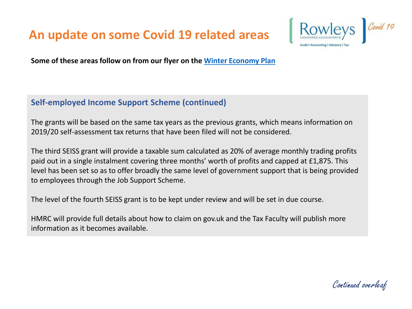

**Some of these areas follow on from our flyer on the [Winter Economy Plan](https://rowleys.biz/wp-content/uploads/2020/09/Winter-Economic-Plan.pdf)**

### **Self-employed Income Support Scheme (continued)**

The grants will be based on the same tax years as the previous grants, which means information on 2019/20 self-assessment tax returns that have been filed will not be considered.

The third SEISS grant will provide a taxable sum calculated as 20% of average monthly trading profits paid out in a single instalment covering three months' worth of profits and capped at £1,875. This level has been set so as to offer broadly the same level of government support that is being provided to employees through the Job Support Scheme.

The level of the fourth SEISS grant is to be kept under review and will be set in due course.

HMRC will provide full details about how to claim on gov.uk and the Tax Faculty will publish more information as it becomes available.

Continued overleaf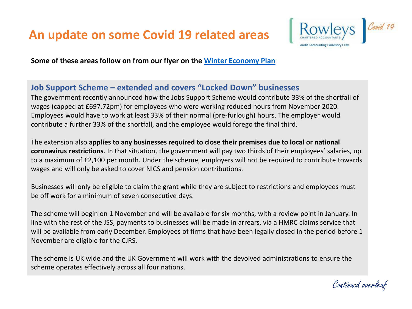

**Some of these areas follow on from our flyer on the [Winter Economy Plan](https://rowleys.biz/wp-content/uploads/2020/09/Winter-Economic-Plan.pdf)**

#### **Job Support Scheme – extended and covers "Locked Down" businesses**

The government recently announced how the Jobs Support Scheme would contribute 33% of the shortfall of wages (capped at £697.72pm) for employees who were working reduced hours from November 2020. Employees would have to work at least 33% of their normal (pre-furlough) hours. The employer would contribute a further 33% of the shortfall, and the employee would forego the final third.

The extension also **applies to any businesses required to close their premises due to local or national coronavirus restrictions**. In that situation, the government will pay two thirds of their employees' salaries, up to a maximum of £2,100 per month. Under the scheme, employers will not be required to contribute towards wages and will only be asked to cover NICS and pension contributions.

Businesses will only be eligible to claim the grant while they are subject to restrictions and employees must be off work for a minimum of seven consecutive days.

The scheme will begin on 1 November and will be available for six months, with a review point in January. In line with the rest of the JSS, payments to businesses will be made in arrears, via a HMRC claims service that will be available from early December. Employees of firms that have been legally closed in the period before 1 November are eligible for the CJRS.

The scheme is UK wide and the UK Government will work with the devolved administrations to ensure the scheme operates effectively across all four nations.

Continued overleaf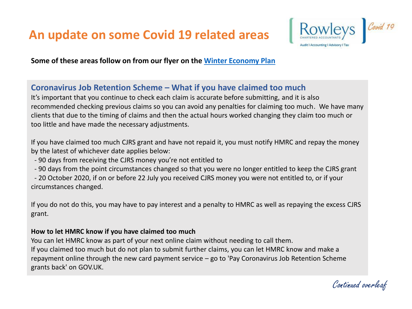

**Some of these areas follow on from our flyer on the [Winter Economy Plan](https://rowleys.biz/wp-content/uploads/2020/09/Winter-Economic-Plan.pdf)**

#### **Coronavirus Job Retention Scheme – What if you have claimed too much**

It's important that you continue to check each claim is accurate before submitting, and it is also recommended checking previous claims so you can avoid any penalties for claiming too much. We have many clients that due to the timing of claims and then the actual hours worked changing they claim too much or too little and have made the necessary adjustments.

If you have claimed too much CJRS grant and have not repaid it, you must notify HMRC and repay the money by the latest of whichever date applies below:

- 90 days from receiving the CJRS money you're not entitled to
- 90 days from the point circumstances changed so that you were no longer entitled to keep the CJRS grant

- 20 October 2020, if on or before 22 July you received CJRS money you were not entitled to, or if your circumstances changed.

If you do not do this, you may have to pay interest and a penalty to HMRC as well as repaying the excess CJRS grant.

#### **How to let HMRC know if you have claimed too much**

You can let HMRC know as part of your next online claim without needing to call them. If you claimed too much but do not plan to submit further claims, you can let HMRC know and make a repayment online through the new card payment service – go to 'Pay Coronavirus Job Retention Scheme grants back' on GOV.UK.

Continued overleaf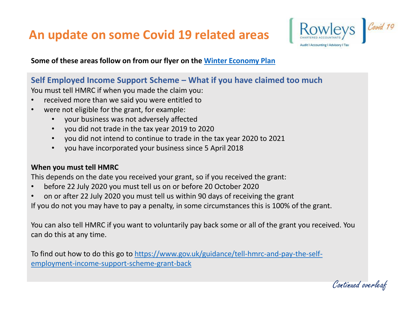

**Some of these areas follow on from our flyer on the [Winter Economy Plan](https://rowleys.biz/wp-content/uploads/2020/09/Winter-Economic-Plan.pdf)**

#### **Self Employed Income Support Scheme – What if you have claimed too much**

You must tell HMRC if when you made the claim you:

- received more than we said you were entitled to
- were not eligible for the grant, for example:
	- your business was not adversely affected
	- you did not trade in the tax year 2019 to 2020
	- you did not intend to continue to trade in the tax year 2020 to 2021
	- you have incorporated your business since 5 April 2018

#### **When you must tell HMRC**

This depends on the date you received your grant, so if you received the grant:

- before 22 July 2020 you must tell us on or before 20 October 2020
- on or after 22 July 2020 you must tell us within 90 days of receiving the grant

If you do not you may have to pay a penalty, in some circumstances this is 100% of the grant.

You can also tell HMRC if you want to voluntarily pay back some or all of the grant you received. You can do this at any time.

[To find out how to do this go to https://www.gov.uk/guidance/tell-hmrc-and-pay-the-self](https://www.gov.uk/guidance/tell-hmrc-and-pay-the-self-employment-income-support-scheme-grant-back)employment-income-support-scheme-grant-back

Continued overleaf